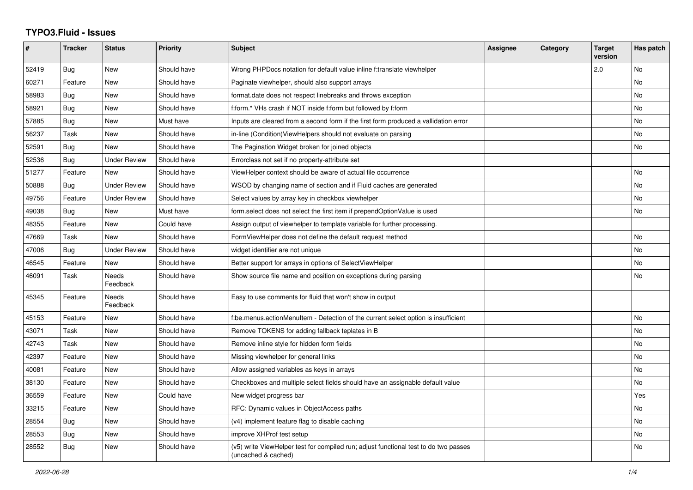## **TYPO3.Fluid - Issues**

| #     | <b>Tracker</b> | <b>Status</b>       | <b>Priority</b> | <b>Subject</b>                                                                                              | Assignee | Category | <b>Target</b><br>version | Has patch |
|-------|----------------|---------------------|-----------------|-------------------------------------------------------------------------------------------------------------|----------|----------|--------------------------|-----------|
| 52419 | <b>Bug</b>     | New                 | Should have     | Wrong PHPDocs notation for default value inline f:translate viewhelper                                      |          |          | 2.0                      | No        |
| 60271 | Feature        | New                 | Should have     | Paginate viewhelper, should also support arrays                                                             |          |          |                          | No        |
| 58983 | Bug            | New                 | Should have     | format date does not respect linebreaks and throws exception                                                |          |          |                          | No        |
| 58921 | Bug            | New                 | Should have     | f:form.* VHs crash if NOT inside f:form but followed by f:form                                              |          |          |                          | <b>No</b> |
| 57885 | Bug            | New                 | Must have       | Inputs are cleared from a second form if the first form produced a vallidation error                        |          |          |                          | <b>No</b> |
| 56237 | Task           | New                 | Should have     | in-line (Condition) ViewHelpers should not evaluate on parsing                                              |          |          |                          | No        |
| 52591 | Bug            | New                 | Should have     | The Pagination Widget broken for joined objects                                                             |          |          |                          | <b>No</b> |
| 52536 | Bug            | <b>Under Review</b> | Should have     | Errorclass not set if no property-attribute set                                                             |          |          |                          |           |
| 51277 | Feature        | New                 | Should have     | ViewHelper context should be aware of actual file occurrence                                                |          |          |                          | No        |
| 50888 | <b>Bug</b>     | <b>Under Review</b> | Should have     | WSOD by changing name of section and if Fluid caches are generated                                          |          |          |                          | No        |
| 49756 | Feature        | <b>Under Review</b> | Should have     | Select values by array key in checkbox viewhelper                                                           |          |          |                          | No        |
| 49038 | Bug            | New                 | Must have       | form.select does not select the first item if prependOptionValue is used                                    |          |          |                          | No        |
| 48355 | Feature        | New                 | Could have      | Assign output of viewhelper to template variable for further processing.                                    |          |          |                          |           |
| 47669 | Task           | <b>New</b>          | Should have     | FormViewHelper does not define the default request method                                                   |          |          |                          | <b>No</b> |
| 47006 | Bug            | <b>Under Review</b> | Should have     | widget identifier are not unique                                                                            |          |          |                          | No        |
| 46545 | Feature        | <b>New</b>          | Should have     | Better support for arrays in options of SelectViewHelper                                                    |          |          |                          | No        |
| 46091 | Task           | Needs<br>Feedback   | Should have     | Show source file name and position on exceptions during parsing                                             |          |          |                          | No        |
| 45345 | Feature        | Needs<br>Feedback   | Should have     | Easy to use comments for fluid that won't show in output                                                    |          |          |                          |           |
| 45153 | Feature        | New                 | Should have     | f:be.menus.actionMenuItem - Detection of the current select option is insufficient                          |          |          |                          | No        |
| 43071 | Task           | New                 | Should have     | Remove TOKENS for adding fallback teplates in B                                                             |          |          |                          | <b>No</b> |
| 42743 | Task           | <b>New</b>          | Should have     | Remove inline style for hidden form fields                                                                  |          |          |                          | No        |
| 42397 | Feature        | New                 | Should have     | Missing viewhelper for general links                                                                        |          |          |                          | No        |
| 40081 | Feature        | New                 | Should have     | Allow assigned variables as keys in arrays                                                                  |          |          |                          | No        |
| 38130 | Feature        | New                 | Should have     | Checkboxes and multiple select fields should have an assignable default value                               |          |          |                          | No        |
| 36559 | Feature        | New                 | Could have      | New widget progress bar                                                                                     |          |          |                          | Yes       |
| 33215 | Feature        | <b>New</b>          | Should have     | RFC: Dynamic values in ObjectAccess paths                                                                   |          |          |                          | <b>No</b> |
| 28554 | <b>Bug</b>     | New                 | Should have     | (v4) implement feature flag to disable caching                                                              |          |          |                          | <b>No</b> |
| 28553 | Bug            | New                 | Should have     | improve XHProf test setup                                                                                   |          |          |                          | No        |
| 28552 | <b>Bug</b>     | New                 | Should have     | (v5) write ViewHelper test for compiled run; adjust functional test to do two passes<br>(uncached & cached) |          |          |                          | No        |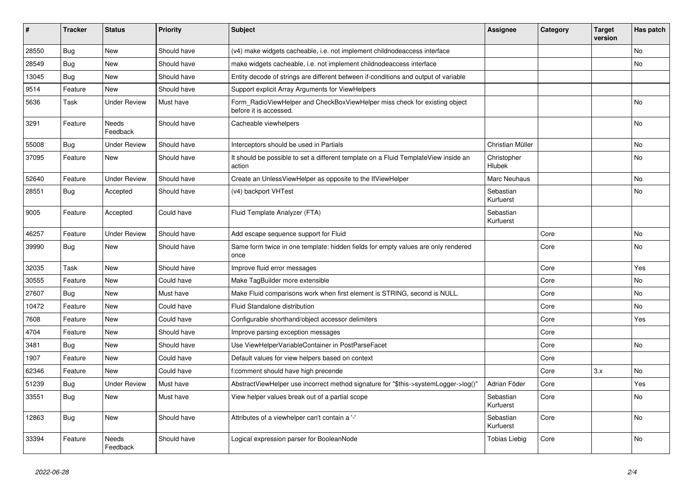| ∥ #   | <b>Tracker</b> | <b>Status</b>            | <b>Priority</b> | <b>Subject</b>                                                                                       | <b>Assignee</b>        | Category | <b>Target</b><br>version | Has patch |
|-------|----------------|--------------------------|-----------------|------------------------------------------------------------------------------------------------------|------------------------|----------|--------------------------|-----------|
| 28550 | <b>Bug</b>     | <b>New</b>               | Should have     | (v4) make widgets cacheable, i.e. not implement childnodeaccess interface                            |                        |          |                          | No.       |
| 28549 | <b>Bug</b>     | <b>New</b>               | Should have     | make widgets cacheable, i.e. not implement childnodeaccess interface                                 |                        |          |                          | No.       |
| 13045 | <b>Bug</b>     | <b>New</b>               | Should have     | Entity decode of strings are different between if-conditions and output of variable                  |                        |          |                          |           |
| 9514  | Feature        | <b>New</b>               | Should have     | Support explicit Array Arguments for ViewHelpers                                                     |                        |          |                          |           |
| 5636  | Task           | <b>Under Review</b>      | Must have       | Form RadioViewHelper and CheckBoxViewHelper miss check for existing object<br>before it is accessed. |                        |          |                          | <b>No</b> |
| 3291  | Feature        | <b>Needs</b><br>Feedback | Should have     | Cacheable viewhelpers                                                                                |                        |          |                          | No        |
| 55008 | Bug            | <b>Under Review</b>      | Should have     | Interceptors should be used in Partials                                                              | Christian Müller       |          |                          | No        |
| 37095 | Feature        | New                      | Should have     | It should be possible to set a different template on a Fluid TemplateView inside an<br>action        | Christopher<br>Hlubek  |          |                          | No        |
| 52640 | Feature        | <b>Under Review</b>      | Should have     | Create an UnlessViewHelper as opposite to the IfViewHelper                                           | Marc Neuhaus           |          |                          | No.       |
| 28551 | Bug            | Accepted                 | Should have     | (v4) backport VHTest                                                                                 | Sebastian<br>Kurfuerst |          |                          | No        |
| 9005  | Feature        | Accepted                 | Could have      | Fluid Template Analyzer (FTA)                                                                        | Sebastian<br>Kurfuerst |          |                          |           |
| 46257 | Feature        | <b>Under Review</b>      | Should have     | Add escape sequence support for Fluid                                                                |                        | Core     |                          | <b>No</b> |
| 39990 | Bug            | <b>New</b>               | Should have     | Same form twice in one template: hidden fields for empty values are only rendered<br>once            |                        | Core     |                          | No        |
| 32035 | Task           | <b>New</b>               | Should have     | Improve fluid error messages                                                                         |                        | Core     |                          | Yes       |
| 30555 | Feature        | <b>New</b>               | Could have      | Make TagBuilder more extensible                                                                      |                        | Core     |                          | No        |
| 27607 | Bug            | <b>New</b>               | Must have       | Make Fluid comparisons work when first element is STRING, second is NULL.                            |                        | Core     |                          | <b>No</b> |
| 10472 | Feature        | <b>New</b>               | Could have      | Fluid Standalone distribution                                                                        |                        | Core     |                          | No        |
| 7608  | Feature        | <b>New</b>               | Could have      | Configurable shorthand/object accessor delimiters                                                    |                        | Core     |                          | Yes       |
| 4704  | Feature        | <b>New</b>               | Should have     | Improve parsing exception messages                                                                   |                        | Core     |                          |           |
| 3481  | Bug            | <b>New</b>               | Should have     | Use ViewHelperVariableContainer in PostParseFacet                                                    |                        | Core     |                          | <b>No</b> |
| 1907  | Feature        | <b>New</b>               | Could have      | Default values for view helpers based on context                                                     |                        | Core     |                          |           |
| 62346 | Feature        | <b>New</b>               | Could have      | f:comment should have high precende                                                                  |                        | Core     | 3.x                      | <b>No</b> |
| 51239 | <b>Bug</b>     | <b>Under Review</b>      | Must have       | AbstractViewHelper use incorrect method signature for "\$this->systemLogger->log()"                  | Adrian Föder           | Core     |                          | Yes       |
| 33551 | Bug            | New                      | Must have       | View helper values break out of a partial scope                                                      | Sebastian<br>Kurfuerst | Core     |                          | No.       |
| 12863 | <b>Bug</b>     | New                      | Should have     | Attributes of a viewhelper can't contain a '-'                                                       | Sebastian<br>Kurfuerst | Core     |                          | No        |
| 33394 | Feature        | <b>Needs</b><br>Feedback | Should have     | Logical expression parser for BooleanNode                                                            | Tobias Liebig          | Core     |                          | No        |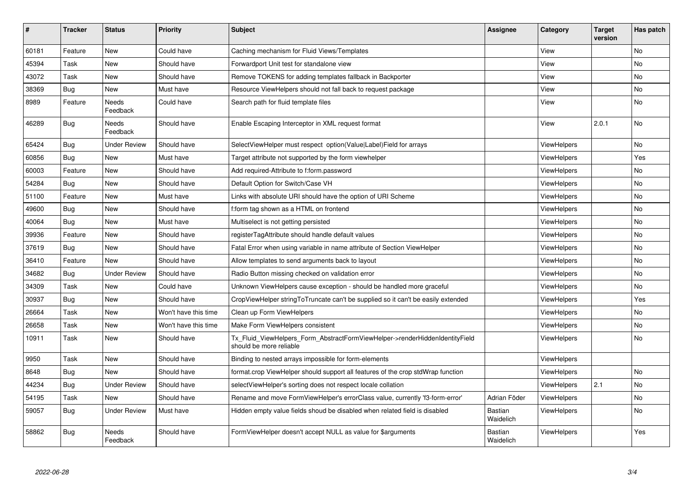| #     | <b>Tracker</b> | <b>Status</b>       | <b>Priority</b>      | Subject                                                                                                | Assignee                    | Category           | <b>Target</b><br>version | Has patch |
|-------|----------------|---------------------|----------------------|--------------------------------------------------------------------------------------------------------|-----------------------------|--------------------|--------------------------|-----------|
| 60181 | Feature        | <b>New</b>          | Could have           | Caching mechanism for Fluid Views/Templates                                                            |                             | View               |                          | No.       |
| 45394 | Task           | New                 | Should have          | Forwardport Unit test for standalone view                                                              |                             | View               |                          | No        |
| 43072 | Task           | New                 | Should have          | Remove TOKENS for adding templates fallback in Backporter                                              |                             | View               |                          | No        |
| 38369 | Bug            | New                 | Must have            | Resource ViewHelpers should not fall back to request package                                           |                             | View               |                          | No        |
| 8989  | Feature        | Needs<br>Feedback   | Could have           | Search path for fluid template files                                                                   |                             | View               |                          | No        |
| 46289 | Bug            | Needs<br>Feedback   | Should have          | Enable Escaping Interceptor in XML request format                                                      |                             | View               | 2.0.1                    | No        |
| 65424 | Bug            | <b>Under Review</b> | Should have          | SelectViewHelper must respect option(Value Label)Field for arrays                                      |                             | ViewHelpers        |                          | No        |
| 60856 | Bug            | New                 | Must have            | Target attribute not supported by the form viewhelper                                                  |                             | <b>ViewHelpers</b> |                          | Yes       |
| 60003 | Feature        | <b>New</b>          | Should have          | Add required-Attribute to f:form.password                                                              |                             | <b>ViewHelpers</b> |                          | No.       |
| 54284 | Bug            | <b>New</b>          | Should have          | Default Option for Switch/Case VH                                                                      |                             | ViewHelpers        |                          | No        |
| 51100 | Feature        | New                 | Must have            | Links with absolute URI should have the option of URI Scheme                                           |                             | ViewHelpers        |                          | No        |
| 49600 | Bug            | New                 | Should have          | f:form tag shown as a HTML on frontend                                                                 |                             | <b>ViewHelpers</b> |                          | No        |
| 40064 | Bug            | <b>New</b>          | Must have            | Multiselect is not getting persisted                                                                   |                             | <b>ViewHelpers</b> |                          | No.       |
| 39936 | Feature        | New                 | Should have          | registerTagAttribute should handle default values                                                      |                             | <b>ViewHelpers</b> |                          | No        |
| 37619 | Bug            | New                 | Should have          | Fatal Error when using variable in name attribute of Section ViewHelper                                |                             | <b>ViewHelpers</b> |                          | No        |
| 36410 | Feature        | New                 | Should have          | Allow templates to send arguments back to layout                                                       |                             | <b>ViewHelpers</b> |                          | No        |
| 34682 | <b>Bug</b>     | <b>Under Review</b> | Should have          | Radio Button missing checked on validation error                                                       |                             | <b>ViewHelpers</b> |                          | No        |
| 34309 | Task           | New                 | Could have           | Unknown ViewHelpers cause exception - should be handled more graceful                                  |                             | <b>ViewHelpers</b> |                          | No        |
| 30937 | Bug            | New                 | Should have          | CropViewHelper stringToTruncate can't be supplied so it can't be easily extended                       |                             | <b>ViewHelpers</b> |                          | Yes       |
| 26664 | Task           | New                 | Won't have this time | Clean up Form ViewHelpers                                                                              |                             | <b>ViewHelpers</b> |                          | No        |
| 26658 | Task           | New                 | Won't have this time | Make Form ViewHelpers consistent                                                                       |                             | ViewHelpers        |                          | No        |
| 10911 | Task           | New                 | Should have          | Tx Fluid ViewHelpers Form AbstractFormViewHelper->renderHiddenIdentityField<br>should be more reliable |                             | <b>ViewHelpers</b> |                          | No        |
| 9950  | Task           | <b>New</b>          | Should have          | Binding to nested arrays impossible for form-elements                                                  |                             | ViewHelpers        |                          |           |
| 8648  | Bug            | New                 | Should have          | format.crop ViewHelper should support all features of the crop stdWrap function                        |                             | <b>ViewHelpers</b> |                          | No        |
| 44234 | <b>Bug</b>     | Under Review        | Should have          | selectViewHelper's sorting does not respect locale collation                                           |                             | ViewHelpers        | 2.1                      | No        |
| 54195 | Task           | <b>New</b>          | Should have          | Rename and move FormViewHelper's errorClass value, currently 'f3-form-error'                           | Adrian Föder                | <b>ViewHelpers</b> |                          | No.       |
| 59057 | Bug            | <b>Under Review</b> | Must have            | Hidden empty value fields shoud be disabled when related field is disabled                             | <b>Bastian</b><br>Waidelich | ViewHelpers        |                          | No        |
| 58862 | Bug            | Needs<br>Feedback   | Should have          | FormViewHelper doesn't accept NULL as value for \$arguments                                            | <b>Bastian</b><br>Waidelich | ViewHelpers        |                          | Yes       |